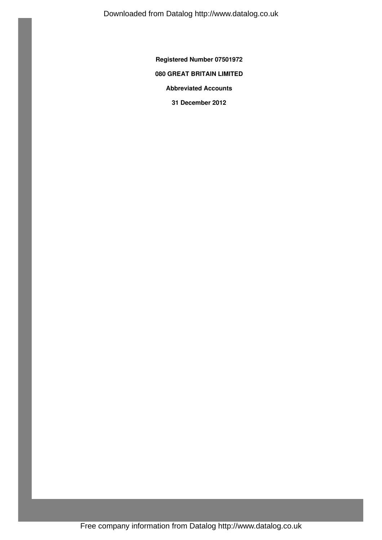Downloaded from Datalog http://www.datalog.co.uk

**Registered Number 07501972**

# **080 GREAT BRITAIN LIMITED**

**Abbreviated Accounts**

**31 December 2012**

Free company information from Datalog http://www.datalog.co.uk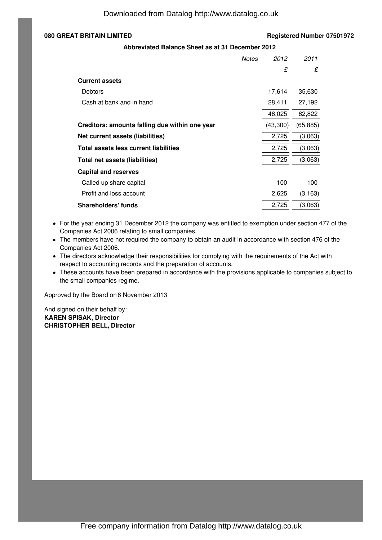# **080 GREAT BRITAIN LIMITED Registered Number 07501972**

## **Abbreviated Balance Sheet as at 31 December 2012**

|                                                | <b>Notes</b> | 2012     | 2011      |
|------------------------------------------------|--------------|----------|-----------|
|                                                |              | £        | £         |
| <b>Current assets</b>                          |              |          |           |
| Debtors                                        |              | 17,614   | 35,630    |
| Cash at bank and in hand                       |              | 28,411   | 27,192    |
|                                                |              | 46,025   | 62,822    |
| Creditors: amounts falling due within one year |              | (43,300) | (65, 885) |
| Net current assets (liabilities)               |              | 2,725    | (3,063)   |
| Total assets less current liabilities          |              | 2,725    | (3,063)   |
| Total net assets (liabilities)                 |              | 2,725    | (3,063)   |
| <b>Capital and reserves</b>                    |              |          |           |
| Called up share capital                        |              | 100      | 100       |
| Profit and loss account                        |              | 2,625    | (3, 163)  |
| <b>Shareholders' funds</b>                     |              | 2,725    | (3,063)   |

• For the year ending 31 December 2012 the company was entitled to exemption under section 477 of the Companies Act 2006 relating to small companies.

The members have not required the company to obtain an audit in accordance with section 476 of the Companies Act 2006.

- The directors acknowledge their responsibilities for complying with the requirements of the Act with respect to accounting records and the preparation of accounts.
- These accounts have been prepared in accordance with the provisions applicable to companies subject to the small companies regime.

Approved by the Board on 6 November 2013

And signed on their behalf by: **KAREN SPISAK, Director CHRISTOPHER BELL, Director**